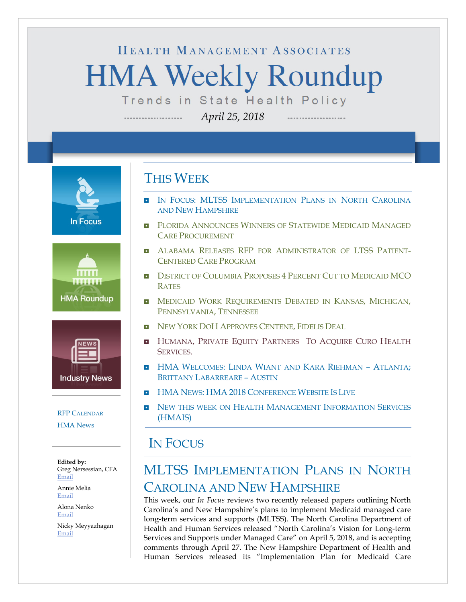# HEALTH MANAGEMENT ASSOCIATES **HMA Weekly Roundup** Trends in State Health Policy

*April 25, 2018*

**In Focus** 





### [RFP CALENDAR](#page-13-0) [HMA News](#page-14-0)

**Edited by:** Greg Nersessian, CFA [Email](mailto:gnersessian@healthmanagement.com)

Annie Melia [Email](mailto:amelia@healthmanagement.com)

Alona Nenko [Email](mailto:anenko@healthmanagement.com) Nicky Meyyazhagan

[Email](mailto:nmeyyazhagan@healthmanagement.com)

# THIS WEEK

- IN FOCUS: MLTSS IMPLEMENTATION PLANS IN NORTH CAROLINA [AND NEW HAMPSHIRE](#page-0-0)
- **E** FLORIDA ANNOUNCES WINNERS OF STATEWIDE MEDICAID MANAGED [CARE PROCUREMENT](#page-5-0)
- ALABAMA RELEASES RFP [FOR ADMINISTRATOR OF LTSS](#page-5-1) PATIENT-[CENTERED CARE PROGRAM](#page-5-1)
- **D** [DISTRICT OF COLUMBIA PROPOSES 4](#page-5-2) PERCENT CUT TO MEDICAID MCO [RATES](#page-5-2)
- **INEDICAID WORK REQUIREMENTS DEBATED IN KANSAS, MICHIGAN,** [PENNSYLVANIA,](#page-6-0) TENNESSEE
- NEW YORK DOH [APPROVES CENTENE,](#page-8-0) FIDELIS DEAL
- **HUMANA, PRIVATE EQUITY PARTNERS TO ACQUIRE CURO HEALTH** [SERVICES.](#page-11-0)
- **H** HMA WELCOMES: LINDA WIANT AND KARA RIEHMAN ATLANTA: [BRITTANY LABARREARE –](#page-16-0) AUSTIN
- **HMA NEWS: HMA 2018 [CONFERENCE WEBSITE IS LIVE](#page-14-0)**
- **NEW THIS WEEK ON HEALTH MANAGEMENT INFORMATION SERVICES** [\(HMAIS\)](#page-15-0)

## <span id="page-0-0"></span>IN FOCUS

# MLTSS IMPLEMENTATION PLANS IN NORTH CAROLINA AND NEW HAMPSHIRE

This week, our *In Focus* reviews two recently released papers outlining North Carolina's and New Hampshire's plans to implement Medicaid managed care long-term services and supports (MLTSS). The North Carolina Department of Health and Human Services released "North Carolina's Vision for Long-term Services and Supports under Managed Care" on April 5, 2018, and is accepting comments through April 27. The New Hampshire Department of Health and Human Services released its "Implementation Plan for Medicaid Care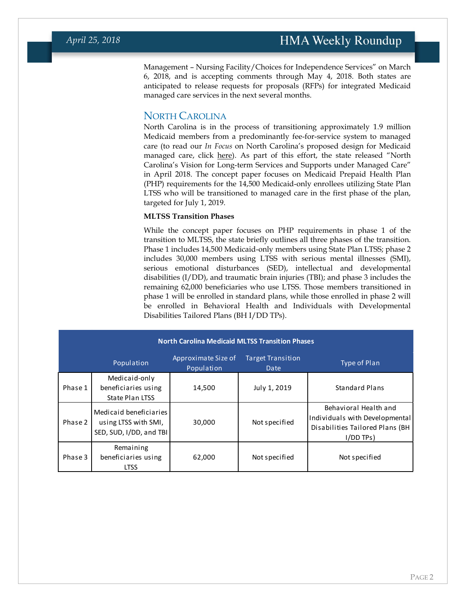Management – Nursing Facility/Choices for Independence Services" on March 6, 2018, and is accepting comments through May 4, 2018. Both states are anticipated to release requests for proposals (RFPs) for integrated Medicaid managed care services in the next several months.

### NORTH CAROLINA

North Carolina is in the process of transitioning approximately 1.9 million Medicaid members from a predominantly fee-for-service system to managed care (to read our *In Focus* on North Carolina's proposed design for Medicaid managed care, click [here\)](https://www.healthmanagement.com/wp-content/uploads/080917-HMA-Roundup.pdf). As part of this effort, the state released "North Carolina's Vision for Long-term Services and Supports under Managed Care" in April 2018. The concept paper focuses on Medicaid Prepaid Health Plan (PHP) requirements for the 14,500 Medicaid-only enrollees utilizing State Plan LTSS who will be transitioned to managed care in the first phase of the plan, targeted for July 1, 2019.

#### **MLTSS Transition Phases**

While the concept paper focuses on PHP requirements in phase 1 of the transition to MLTSS, the state briefly outlines all three phases of the transition. Phase 1 includes 14,500 Medicaid-only members using State Plan LTSS; phase 2 includes 30,000 members using LTSS with serious mental illnesses (SMI), serious emotional disturbances (SED), intellectual and developmental disabilities (I/DD), and traumatic brain injuries (TBI); and phase 3 includes the remaining 62,000 beneficiaries who use LTSS. Those members transitioned in phase 1 will be enrolled in standard plans, while those enrolled in phase 2 will be enrolled in Behavioral Health and Individuals with Developmental Disabilities Tailored Plans (BH I/DD TPs).

| <b>North Carolina Medicaid MLTSS Transition Phases</b> |                                                                           |                                   |                                  |                                                                                                           |  |  |  |  |
|--------------------------------------------------------|---------------------------------------------------------------------------|-----------------------------------|----------------------------------|-----------------------------------------------------------------------------------------------------------|--|--|--|--|
|                                                        | Population                                                                | Approximate Size of<br>Population | <b>Target Transition</b><br>Date | Type of Plan                                                                                              |  |  |  |  |
| Phase 1                                                | Medicaid-only<br>beneficiaries using<br><b>State Plan LTSS</b>            | 14,500                            | July 1, 2019                     | <b>Standard Plans</b>                                                                                     |  |  |  |  |
| Phase 2                                                | Medicaid beneficiaries<br>using LTSS with SMI,<br>SED, SUD, I/DD, and TBI | 30,000                            | Not specified                    | Behavioral Health and<br>Individuals with Developmental<br>Disabilities Tailored Plans (BH<br>$I/DD$ TPs) |  |  |  |  |
| Phase 3                                                | Remaining<br>beneficiaries using<br><b>LTSS</b>                           | 62,000                            | Not specified                    | Not specified                                                                                             |  |  |  |  |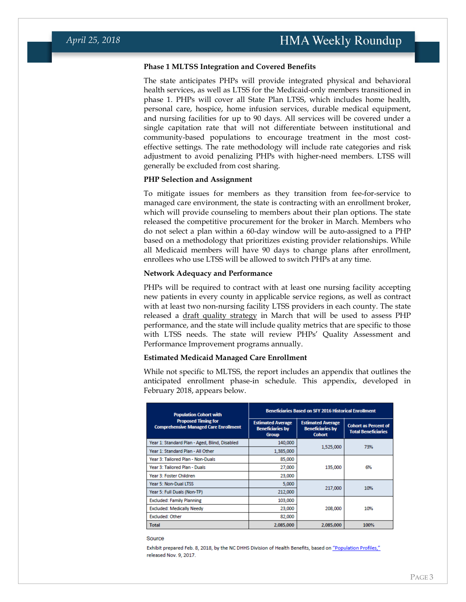#### **Phase 1 MLTSS Integration and Covered Benefits**

The state anticipates PHPs will provide integrated physical and behavioral health services, as well as LTSS for the Medicaid-only members transitioned in phase 1. PHPs will cover all State Plan LTSS, which includes home health, personal care, hospice, home infusion services, durable medical equipment, and nursing facilities for up to 90 days. All services will be covered under a single capitation rate that will not differentiate between institutional and community-based populations to encourage treatment in the most costeffective settings. The rate methodology will include rate categories and risk adjustment to avoid penalizing PHPs with higher-need members. LTSS will generally be excluded from cost sharing.

#### **PHP Selection and Assignment**

To mitigate issues for members as they transition from fee-for-service to managed care environment, the state is contracting with an enrollment broker, which will provide counseling to members about their plan options. The state released the competitive procurement for the broker in March. Members who do not select a plan within a 60-day window will be auto-assigned to a PHP based on a methodology that prioritizes existing provider relationships. While all Medicaid members will have 90 days to change plans after enrollment, enrollees who use LTSS will be allowed to switch PHPs at any time.

#### **Network Adequacy and Performance**

PHPs will be required to contract with at least one nursing facility accepting new patients in every county in applicable service regions, as well as contract with at least two non-nursing facility LTSS providers in each county. The state released a [draft quality strategy](https://files.nc.gov/ncdhhs/documents/DRAFT_QualityStrategy_20180320.pdf) in March that will be used to assess PHP performance, and the state will include quality metrics that are specific to those with LTSS needs. The state will review PHPs' Quality Assessment and Performance Improvement programs annually.

#### **Estimated Medicaid Managed Care Enrollment**

While not specific to MLTSS, the report includes an appendix that outlines the anticipated enrollment phase-in schedule. This appendix, developed in February 2018, appears below.

| <b>Population Cohort with</b>                                              | <b>Beneficiaries Based on SFY 2016 Historical Enrollment</b>        |                                                                      |                                                           |  |
|----------------------------------------------------------------------------|---------------------------------------------------------------------|----------------------------------------------------------------------|-----------------------------------------------------------|--|
| <b>Proposed Timing for</b><br><b>Comprehensive Managed Care Enrollment</b> | <b>Estimated Average</b><br><b>Beneficiaries by</b><br><b>Group</b> | <b>Estimated Average</b><br><b>Beneficiaries by</b><br><b>Cohort</b> | <b>Cohort as Percent of</b><br><b>Total Beneficiaries</b> |  |
| Year 1: Standard Plan - Aged, Blind, Disabled                              | 140,000                                                             |                                                                      | 73%                                                       |  |
| Year 1: Standard Plan - All Other                                          | 1,385,000                                                           | 1,525,000                                                            |                                                           |  |
| Year 3: Tailored Plan - Non-Duals                                          | 85,000                                                              |                                                                      |                                                           |  |
| Year 3: Tailored Plan - Duals                                              | 27,000                                                              | 135,000                                                              | 6%                                                        |  |
| Year 3: Foster Children                                                    | 23,000                                                              |                                                                      |                                                           |  |
| Year 5: Non-Dual LTSS                                                      | 5,000                                                               |                                                                      | 10%                                                       |  |
| Year 5: Full Duals (Non-TP)                                                | 212,000                                                             | 217,000                                                              |                                                           |  |
| <b>Excluded: Family Planning</b>                                           | 103,000                                                             |                                                                      |                                                           |  |
| <b>Excluded: Medically Needy</b>                                           | 23,000                                                              | 208,000                                                              | 10%                                                       |  |
| <b>Excluded: Other</b>                                                     | 82,000                                                              |                                                                      |                                                           |  |
| <b>Total</b>                                                               | 2.085.000                                                           | 2.085.000                                                            | 100%                                                      |  |

Source

Exhibit prepared Feb. 8, 2018, by the NC DHHS Division of Health Benefits, based on "Population Profiles," released Nov. 9, 2017.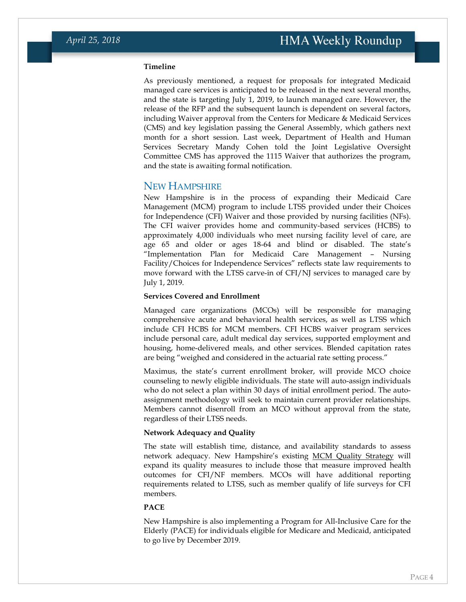#### **Timeline**

As previously mentioned, a request for proposals for integrated Medicaid managed care services is anticipated to be released in the next several months, and the state is targeting July 1, 2019, to launch managed care. However, the release of the RFP and the subsequent launch is dependent on several factors, including Waiver approval from the Centers for Medicare & Medicaid Services (CMS) and key legislation passing the General Assembly, which gathers next month for a short session. Last week, Department of Health and Human Services Secretary Mandy Cohen told the Joint Legislative Oversight Committee CMS has approved the 1115 Waiver that authorizes the program, and the state is awaiting formal notification.

#### NEW HAMPSHIRE

New Hampshire is in the process of expanding their Medicaid Care Management (MCM) program to include LTSS provided under their Choices for Independence (CFI) Waiver and those provided by nursing facilities (NFs). The CFI waiver provides home and community-based services (HCBS) to approximately 4,000 individuals who meet nursing facility level of care, are age 65 and older or ages 18-64 and blind or disabled. The state's "Implementation Plan for Medicaid Care Management – Nursing Facility/Choices for Independence Services" reflects state law requirements to move forward with the LTSS carve-in of CFI/NJ services to managed care by July 1, 2019.

#### **Services Covered and Enrollment**

Managed care organizations (MCOs) will be responsible for managing comprehensive acute and behavioral health services, as well as LTSS which include CFI HCBS for MCM members. CFI HCBS waiver program services include personal care, adult medical day services, supported employment and housing, home-delivered meals, and other services. Blended capitation rates are being "weighed and considered in the actuarial rate setting process."

Maximus, the state's current enrollment broker, will provide MCO choice counseling to newly eligible individuals. The state will auto-assign individuals who do not select a plan within 30 days of initial enrollment period. The autoassignment methodology will seek to maintain current provider relationships. Members cannot disenroll from an MCO without approval from the state, regardless of their LTSS needs.

#### **Network Adequacy and Quality**

The state will establish time, distance, and availability standards to assess network adequacy. New Hampshire's existing [MCM Quality Strategy](chrome-extension://oemmndcbldboiebfnladdacbdfmadadm/https:/www.dhhs.nh.gov/ombp/quality/documents/quality-strategy.pdf) will expand its quality measures to include those that measure improved health outcomes for CFI/NF members. MCOs will have additional reporting requirements related to LTSS, such as member qualify of life surveys for CFI members.

#### **PACE**

New Hampshire is also implementing a Program for All-Inclusive Care for the Elderly (PACE) for individuals eligible for Medicare and Medicaid, anticipated to go live by December 2019.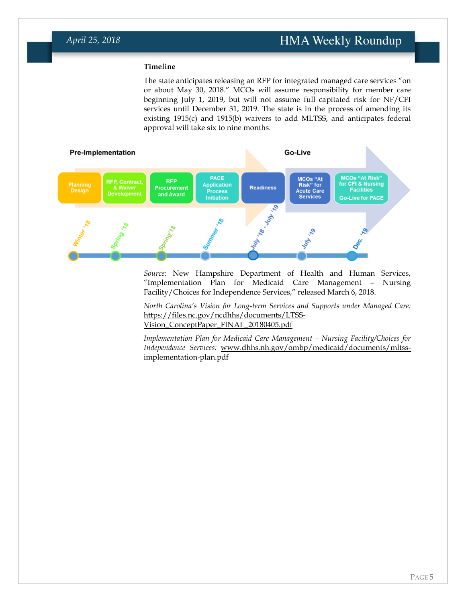### **Timeline**

The state anticipates releasing an RFP for integrated managed care services "on or about May 30, 2018." MCOs will assume responsibility for member care beginning July 1, 2019, but will not assume full capitated risk for NF/CFI services until December 31, 2019. The state is in the process of amending its existing 1915(c) and 1915(b) waivers to add MLTSS, and anticipates federal approval will take six to nine months.



*Source:* New Hampshire Department of Health and Human Services, "Implementation Plan for Medicaid Care Management – Nursing Facility/Choices for Independence Services," released March 6, 2018.

*North Carolina's Vision for Long-term Services and Supports under Managed Care:*  [https://files.nc.gov/ncdhhs/documents/LTSS-](https://files.nc.gov/ncdhhs/documents/LTSS-Vision_ConceptPaper_FINAL_20180405.pdf)[Vision\\_ConceptPaper\\_FINAL\\_20180405.pdf](https://files.nc.gov/ncdhhs/documents/LTSS-Vision_ConceptPaper_FINAL_20180405.pdf)

*Implementation Plan for Medicaid Care Management – Nursing Facility/Choices for Independence Services:* [www.dhhs.nh.gov/ombp/medicaid/documents/mltss](http://www.dhhs.nh.gov/ombp/medicaid/documents/mltss-implementation-plan.pdf)[implementation-plan.pdf](http://www.dhhs.nh.gov/ombp/medicaid/documents/mltss-implementation-plan.pdf)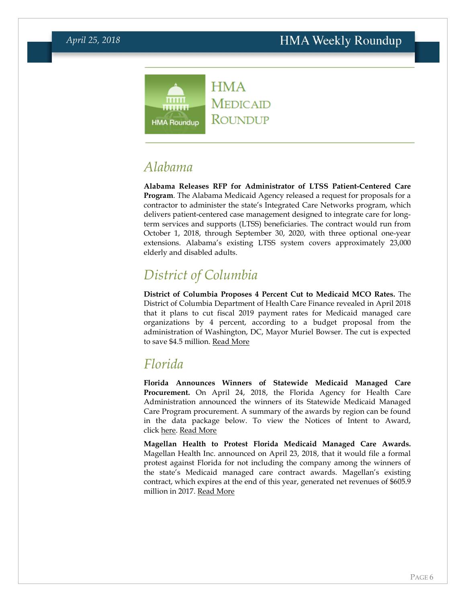### **HMA**  $\overline{\text{mm}}$ **MEDICAID** ....... ROUNDUP **HMA Roundup**

# <span id="page-5-1"></span>*Alabama*

**Alabama Releases RFP for Administrator of LTSS Patient-Centered Care Program**. The Alabama Medicaid Agency released a request for proposals for a contractor to administer the state's Integrated Care Networks program, which delivers patient-centered case management designed to integrate care for longterm services and supports (LTSS) beneficiaries. The contract would run from October 1, 2018, through September 30, 2020, with three optional one-year extensions. Alabama's existing LTSS system covers approximately 23,000 elderly and disabled adults.

# <span id="page-5-2"></span>*District of Columbia*

**District of Columbia Proposes 4 Percent Cut to Medicaid MCO Rates.** The District of Columbia Department of Health Care Finance revealed in April 2018 that it plans to cut fiscal 2019 payment rates for Medicaid managed care organizations by 4 percent, according to a budget proposal from the administration of Washington, DC, Mayor Muriel Bowser. The cut is expected to save \$4.5 million. [Read More](https://dhcf.dc.gov/release/department-health-care-finance-fy-2019-budget)

# <span id="page-5-0"></span>*Florida*

**Florida Announces Winners of Statewide Medicaid Managed Care Procurement.** On April 24, 2018, the Florida Agency for Health Care Administration announced the winners of its Statewide Medicaid Managed Care Program procurement. A summary of the awards by region can be found in the data package below. To view the Notices of Intent to Award, click [here.](https://hmais.healthmanagement.com/florida/fl-statewide-medicaid-managed-care-program-re-reprocurement-2017/) [Read More](http://ahca.myflorida.com/Executive/Communications/Press_Releases/pdf/PressReleaseSMMCReprocurement4242018.pdf)

**Magellan Health to Protest Florida Medicaid Managed Care Awards.**  Magellan Health Inc. announced on April 23, 2018, that it would file a formal protest against Florida for not including the company among the winners of the state's Medicaid managed care contract awards. Magellan's existing contract, which expires at the end of this year, generated net revenues of \$605.9 million in 2017. [Read More](https://ir.magellanhealth.com/node/18396/html)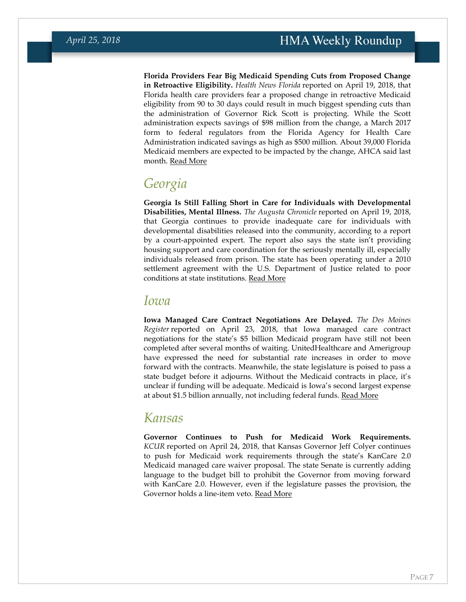**Florida Providers Fear Big Medicaid Spending Cuts from Proposed Change in Retroactive Eligibility.** *Health News Florida* reported on April 19, 2018, that Florida health care providers fear a proposed change in retroactive Medicaid eligibility from 90 to 30 days could result in much biggest spending cuts than the administration of Governor Rick Scott is projecting. While the Scott administration expects savings of \$98 million from the change, a March 2017 form to federal regulators from the Florida Agency for Health Care Administration indicated savings as high as \$500 million. About 39,000 Florida Medicaid members are expected to be impacted by the change, AHCA said last month. [Read More](http://health.wusf.usf.edu/post/scott-medicaid-numbers-come-under-fire#stream/0)

## *Georgia*

**Georgia Is Still Falling Short in Care for Individuals with Developmental Disabilities, Mental Illness.** *The Augusta Chronicle* reported on April 19, 2018, that Georgia continues to provide inadequate care for individuals with developmental disabilities released into the community, according to a report by a court-appointed expert. The report also says the state isn't providing housing support and care coordination for the seriously mentally ill, especially individuals released from prison. The state has been operating under a 2010 settlement agreement with the U.S. Department of Justice related to poor conditions at state institutions. [Read More](http://www.augustachronicle.com/news/20180419/disabled-deaths-lack-of-support-for-mentally-ill-plague-georgia-patients)

### *Iowa*

**Iowa Managed Care Contract Negotiations Are Delayed.** *The Des Moines Register* reported on April 23, 2018, that Iowa managed care contract negotiations for the state's \$5 billion Medicaid program have still not been completed after several months of waiting. UnitedHealthcare and Amerigroup have expressed the need for substantial rate increases in order to move forward with the contracts. Meanwhile, the state legislature is poised to pass a state budget before it adjourns. Without the Medicaid contracts in place, it's unclear if funding will be adequate. Medicaid is Iowa's second largest expense at about \$1.5 billion annually, not including federal funds. [Read More](https://www.desmoinesregister.com/story/news/health/2018/04/23/iowa-medicaid-negotiations-were-supposed-done-now-but-they-havent-started/542193002/)

## <span id="page-6-0"></span>*Kansas*

**Governor Continues to Push for Medicaid Work Requirements.**  *KCUR* reported on April 24, 2018, that Kansas Governor Jeff Colyer continues to push for Medicaid work requirements through the state's KanCare 2.0 Medicaid managed care waiver proposal. The state Senate is currently adding language to the budget bill to prohibit the Governor from moving forward with KanCare 2.0. However, even if the legislature passes the provision, the Governor holds a line-item veto. [Read More](http://kcur.org/post/colyer-insisting-work-coverage-requirement-kansas-medicaid-rules#stream/0)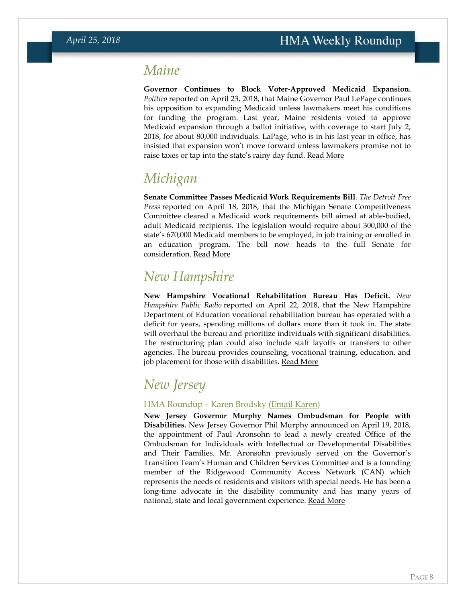# *Maine*

**Governor Continues to Block Voter-Approved Medicaid Expansion.** *Politico* reported on April 23, 2018, that Maine Governor Paul LePage continues his opposition to expanding Medicaid unless lawmakers meet his conditions for funding the program. Last year, Maine residents voted to approve Medicaid expansion through a ballot initiative, with coverage to start July 2, 2018, for about 80,000 individuals. LaPage, who is in his last year in office, has insisted that expansion won't move forward unless lawmakers promise not to raise taxes or tap into the state's rainy day fund. [Read More](https://www.politico.com/story/2018/04/23/maine-governor-defies-medicaid-ballot-initiative-547474)

# *Michigan*

**Senate Committee Passes Medicaid Work Requirements Bill**. *The Detroit Free Press* reported on April 18, 2018, that the Michigan Senate Competitiveness Committee cleared a Medicaid work requirements bill aimed at able-bodied, adult Medicaid recipients. The legislation would require about 300,000 of the state's 670,000 Medicaid members to be employed, in job training or enrolled in an education program. The bill now heads to the full Senate for consideration. [Read More](https://www.freep.com/story/news/2018/04/18/michigan-medicaid-work/528197002/)

# *New Hampshire*

**New Hampshire Vocational Rehabilitation Bureau Has Deficit.** *New Hampshire Public Radio* reported on April 22, 2018, that the New Hampshire Department of Education vocational rehabilitation bureau has operated with a deficit for years, spending millions of dollars more than it took in. The state will overhaul the bureau and prioritize individuals with significant disabilities. The restructuring plan could also include staff layoffs or transfers to other agencies. The bureau provides counseling, vocational training, education, and job placement for those with disabilities. [Read More](http://nhpr.org/post/office-helping-granite-staters-disabilities-has-deficit#stream/0)

# *New Jersey*

### HMA Roundup – Karen Brodsky [\(Email Karen\)](mailto:kbrodsky@healthmanagement.com)

**New Jersey Governor Murphy Names Ombudsman for People with Disabilities.** New Jersey Governor Phil Murphy announced on April 19, 2018, the appointment of Paul Aronsohn to lead a newly created Office of the Ombudsman for Individuals with Intellectual or Developmental Disabilities and Their Families. Mr. Aronsohn previously served on the Governor's Transition Team's Human and Children Services Committee and is a founding member of the Ridgewood Community Access Network (CAN) which represents the needs of residents and visitors with special needs. He has been a long-time advocate in the disability community and has many years of national, state and local government experience. [Read More](http://nj.gov/governor/news/news/562018/approved/20180419c_ombudsman.shtml)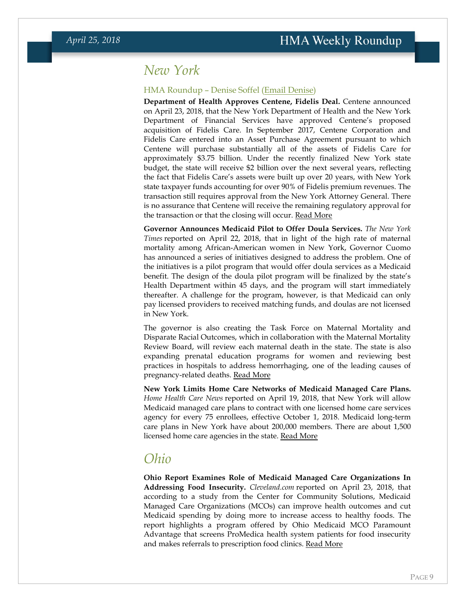## <span id="page-8-0"></span>*New York*

#### HMA Roundup – Denise Soffel [\(Email Denise\)](mailto:dsoffel@healthmanagement.com)

**Department of Health Approves Centene, Fidelis Deal.** Centene announced on April 23, 2018, that the New York Department of Health and the New York Department of Financial Services have approved Centene's proposed acquisition of Fidelis Care. In September 2017, Centene Corporation and Fidelis Care entered into an Asset Purchase Agreement pursuant to which Centene will purchase substantially all of the assets of Fidelis Care for approximately \$3.75 billion. Under the recently finalized New York state budget, the state will receive \$2 billion over the next several years, reflecting the fact that Fidelis Care's assets were built up over 20 years, with New York state taxpayer funds accounting for over 90% of Fidelis premium revenues. The transaction still requires approval from the New York Attorney General. There is no assurance that Centene will receive the remaining regulatory approval for the transaction or that the closing will occur. [Read More](https://www.prnewswire.com/news-releases/centene-receives-regulatory-approval-for-the-fidelis-care-transaction-from-new-york-department-of-health-and-new-york-department-of-financial-services-300634027.html)

**Governor Announces Medicaid Pilot to Offer Doula Services.** *The New York Times* reported on April 22, 2018, that in light of the high rate of maternal mortality among African-American women in New York, Governor Cuomo has announced a series of initiatives designed to address the problem. One of the initiatives is a pilot program that would offer doula services as a Medicaid benefit. The design of the doula pilot program will be finalized by the state's Health Department within 45 days, and the program will start immediately thereafter. A challenge for the program, however, is that Medicaid can only pay licensed providers to received matching funds, and doulas are not licensed in New York.

The governor is also creating the Task Force on Maternal Mortality and Disparate Racial Outcomes, which in collaboration with the Maternal Mortality Review Board, will review each maternal death in the state. The state is also expanding prenatal education programs for women and reviewing best practices in hospitals to address hemorrhaging, one of the leading causes of pregnancy-related deaths. [Read More](https://www.nytimes.com/2018/04/22/nyregion/childbirth-death-doula-medicaid.html)

**New York Limits Home Care Networks of Medicaid Managed Care Plans.**  *Home Health Care News* reported on April 19, 2018, that New York will allow Medicaid managed care plans to contract with one licensed home care services agency for every 75 enrollees, effective October 1, 2018. Medicaid long-term care plans in New York have about 200,000 members. There are about 1,500 licensed home care agencies in the state. [Read More](https://homehealthcarenews.com/2018/04/managed-care-plans-forced-to-limit-home-care-contracts-in-new-york/)

## *Ohio*

**Ohio Report Examines Role of Medicaid Managed Care Organizations In Addressing Food Insecurity.** *Cleveland.com* reported on April 23, 2018, that according to a study from the Center for Community Solutions, Medicaid Managed Care Organizations (MCOs) can improve health outcomes and cut Medicaid spending by doing more to increase access to healthy foods. The report highlights a program offered by Ohio Medicaid MCO Paramount Advantage that screens ProMedica health system patients for food insecurity and makes referrals to prescription food clinics. [Read More](http://www.cleveland.com/healthfit/index.ssf/2018/04/food_as_medicine_how_ohio_can.html)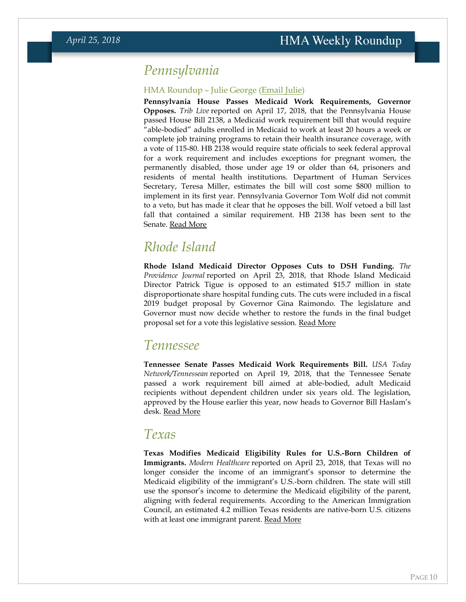## *Pennsylvania*

### HMA Roundup – Julie George [\(Email Julie\)](mailto:jgeorge@healthmanagement.com)

**Pennsylvania House Passes Medicaid Work Requirements, Governor Opposes.** *Trib Live* reported on April 17, 2018, that the Pennsylvania House passed House Bill 2138, a Medicaid work requirement bill that would require "able-bodied" adults enrolled in Medicaid to work at least 20 hours a week or complete job training programs to retain their health insurance coverage, with a vote of 115-80. HB 2138 would require state officials to seek federal approval for a work requirement and includes exceptions for pregnant women, the permanently disabled, those under age 19 or older than 64, prisoners and residents of mental health institutions. Department of Human Services Secretary, Teresa Miller, estimates the bill will cost some \$800 million to implement in its first year. Pennsylvania Governor Tom Wolf did not commit to a veto, but has made it clear that he opposes the bill. Wolf vetoed a bill last fall that contained a similar requirement. HB 2138 has been sent to the Senate. [Read More](http://triblive.com/state/pennsylvania/13521833-74/unemployed-pennsylvanians-on-medicaid-could-lose-health-coverage-under-proposed-bill)

# *Rhode Island*

**Rhode Island Medicaid Director Opposes Cuts to DSH Funding.** *The Providence Journal* reported on April 23, 2018, that Rhode Island Medicaid Director Patrick Tigue is opposed to an estimated \$15.7 million in state disproportionate share hospital funding cuts. The cuts were included in a fiscal 2019 budget proposal by Governor Gina Raimondo. The legislature and Governor must now decide whether to restore the funds in the final budget proposal set for a vote this legislative session. [Read More](http://www.providencejournal.com/news/20180423/ri-medicaid-director-backs-keeping-157-million-state-planned-to-cut)

## *Tennessee*

**Tennessee Senate Passes Medicaid Work Requirements Bill.** *USA Today Network/Tennessean* reported on April 19, 2018, that the Tennessee Senate passed a work requirement bill aimed at able-bodied, adult Medicaid recipients without dependent children under six years old. The legislation, approved by the House earlier this year, now heads to Governor Bill Haslam's desk. [Read More](https://www.tennessean.com/story/news/politics/2018/04/19/senate-passes-bill-proposing-work-requirements-tenncare-recipients/532406002/)

## *Texas*

**Texas Modifies Medicaid Eligibility Rules for U.S.-Born Children of Immigrants.** *Modern Healthcare* reported on April 23, 2018, that Texas will no longer consider the income of an immigrant's sponsor to determine the Medicaid eligibility of the immigrant's U.S.-born children. The state will still use the sponsor's income to determine the Medicaid eligibility of the parent, aligning with federal requirements. According to the American Immigration Council, an estimated 4.2 million Texas residents are native-born U.S. citizens with at least one immigrant parent. [Read More](http://www.modernhealthcare.com/article/20180423/NEWS/180429971)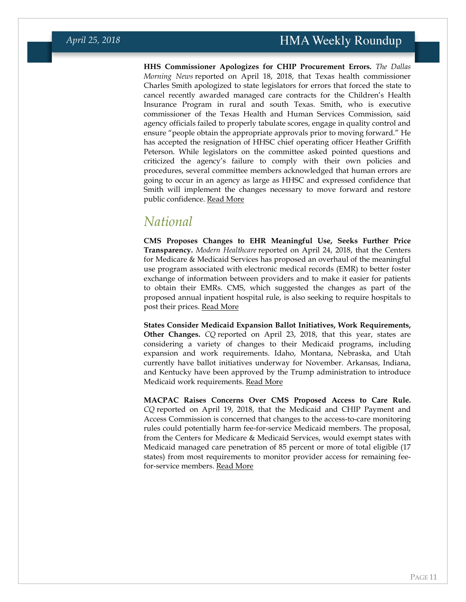**HHS Commissioner Apologizes for CHIP Procurement Errors.** *The Dallas Morning News* reported on April 18, 2018, that Texas health commissioner Charles Smith apologized to state legislators for errors that forced the state to cancel recently awarded managed care contracts for the Children's Health Insurance Program in rural and south Texas. Smith, who is executive commissioner of the Texas Health and Human Services Commission, said agency officials failed to properly tabulate scores, engage in quality control and ensure "people obtain the appropriate approvals prior to moving forward." He has accepted the resignation of HHSC chief operating officer Heather Griffith Peterson. While legislators on the committee asked pointed questions and criticized the agency's failure to comply with their own policies and procedures, several committee members acknowledged that human errors are going to occur in an agency as large as HHSC and expressed confidence that Smith will implement the changes necessary to move forward and restore public confidence. [Read More](https://www.dallasnews.com/news/texas-politics/2018/04/18/fourth-official-quits-contracting-mess-roils-texas-health-human-services)

# *National*

**CMS Proposes Changes to EHR Meaningful Use, Seeks Further Price Transparency.** *Modern Healthcare* reported on April 24, 2018, that the Centers for Medicare & Medicaid Services has proposed an overhaul of the meaningful use program associated with electronic medical records (EMR) to better foster exchange of information between providers and to make it easier for patients to obtain their EMRs. CMS, which suggested the changes as part of the proposed annual inpatient hospital rule, is also seeking to require hospitals to post their prices. [Read More](http://www.modernhealthcare.com/article/20180424/TRANSFORMATION04/180429951)

**States Consider Medicaid Expansion Ballot Initiatives, Work Requirements, Other Changes.** *CQ* reported on April 23, 2018, that this year, states are considering a variety of changes to their Medicaid programs, including expansion and work requirements. Idaho, Montana, Nebraska, and Utah currently have ballot initiatives underway for November. Arkansas, Indiana, and Kentucky have been approved by the Trump administration to introduce Medicaid work requirements. [Read More](http://www.cq.com/doc/news-5303865?0&srcpage=news&srcsec=cqn)

**MACPAC Raises Concerns Over CMS Proposed Access to Care Rule.**  *CQ* reported on April 19, 2018, that the Medicaid and CHIP Payment and Access Commission is concerned that changes to the access-to-care monitoring rules could potentially harm fee-for-service Medicaid members. The proposal, from the Centers for Medicare & Medicaid Services, would exempt states with Medicaid managed care penetration of 85 percent or more of total eligible (17 states) from most requirements to monitor provider access for remaining feefor-service members. [Read More](https://plus.cq.com/doc/hbnews-5303083?2&utm_medium=newsletter&utm_source=hbmorning)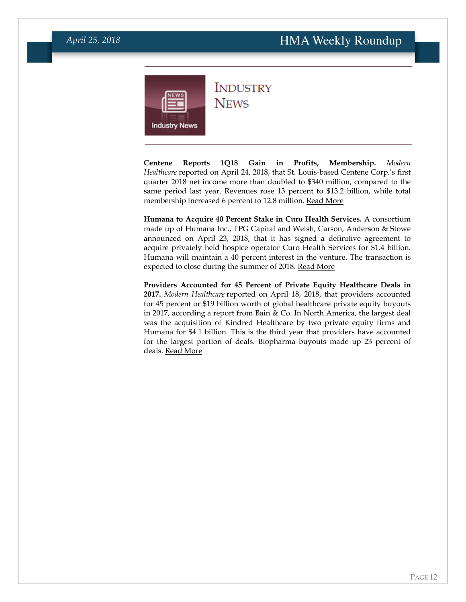<span id="page-11-0"></span>

**INDUSTRY NEWS** 

**Centene Reports 1Q18 Gain in Profits, Membership.** *Modern Healthcare* reported on April 24, 2018, that St. Louis-based Centene Corp.'s first quarter 2018 net income more than doubled to \$340 million, compared to the same period last year. Revenues rose 13 percent to \$13.2 billion, while total membership increased 6 percent to 12.8 million. [Read More](http://www.modernhealthcare.com/article/20180424/NEWS/180429953)

**Humana to Acquire 40 Percent Stake in Curo Health Services.** A consortium made up of Humana Inc., TPG Capital and Welsh, Carson, Anderson & Stowe announced on April 23, 2018, that it has signed a definitive agreement to acquire privately held hospice operator Curo Health Services for \$1.4 billion. Humana will maintain a 40 percent interest in the venture. The transaction is expected to close during the summer of 2018. [Read More](https://www.businesswire.com/news/home/20180423005626/en/)

**Providers Accounted for 45 Percent of Private Equity Healthcare Deals in 2017.** *Modern Healthcare* reported on April 18, 2018, that providers accounted for 45 percent or \$19 billion worth of global healthcare private equity buyouts in 2017, according a report from Bain & Co. In North America, the largest deal was the acquisition of Kindred Healthcare by two private equity firms and Humana for \$4.1 billion. This is the third year that providers have accounted for the largest portion of deals. Biopharma buyouts made up 23 percent of deals. [Read More](http://www.modernhealthcare.com/article/20180418/NEWS/180419919)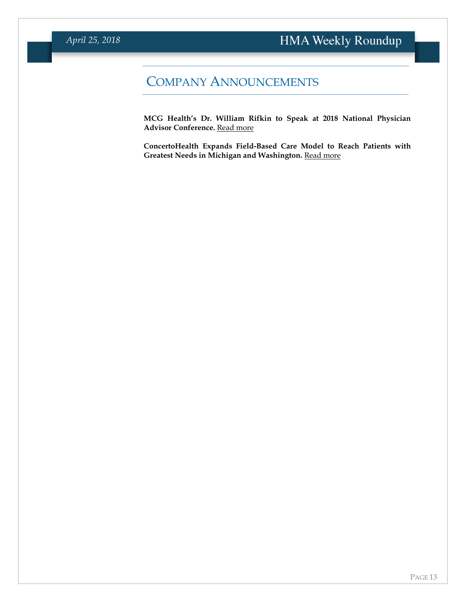# COMPANY ANNOUNCEMENTS

**MCG Health's Dr. William Rifkin to Speak at 2018 National Physician Advisor Conference. [Read more](https://www.mcg.com/client-resources/news-item/william-rifkin-to-speak-at-2018-national-physician-advisor-conference/)** 

**ConcertoHealth Expands Field-Based Care Model to Reach Patients with Greatest Needs in Michigan and Washington. [Read more](https://www.prnewswire.com/news-releases/concertohealth-expands-field-based-care-model-to-reach-patients-with-greatest-needs-in-michigan-and-washington-300631187.html)**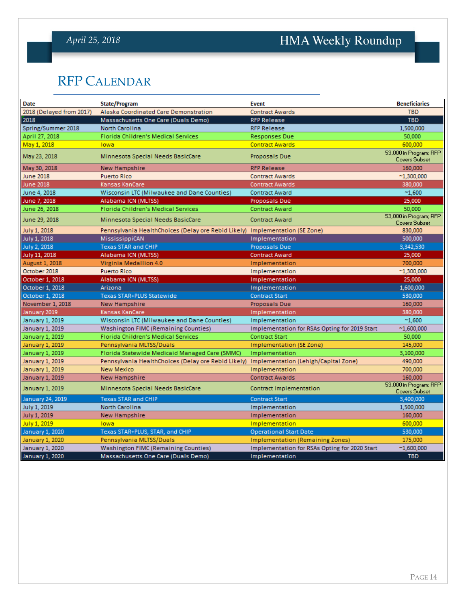# *April 25, 2018*

# HMA Weekly Roundup

# <span id="page-13-0"></span>RFP CALENDAR

| <b>Date</b>              | State/Program                                                                | <b>Event</b>                                  | <b>Beneficiaries</b>                           |
|--------------------------|------------------------------------------------------------------------------|-----------------------------------------------|------------------------------------------------|
| 2018 (Delayed from 2017) | Alaska Coordinated Care Demonstration                                        | <b>Contract Awards</b>                        | <b>TBD</b>                                     |
| 2018                     | Massachusetts One Care (Duals Demo)                                          | <b>RFP Release</b>                            | <b>TBD</b>                                     |
| Spring/Summer 2018       | <b>North Carolina</b>                                                        | <b>RFP Release</b>                            | 1,500,000                                      |
| April 27, 2018           | Florida Children's Medical Services                                          | Responses Due                                 | 50,000                                         |
| May 1, 2018              | lowa                                                                         | <b>Contract Awards</b>                        | 600,000                                        |
| May 23, 2018             | Minnesota Special Needs BasicCare                                            | Proposals Due                                 | 53,000 in Program; RFP<br><b>Covers Subset</b> |
| May 30, 2018             | New Hampshire                                                                | <b>RFP Release</b>                            | 160,000                                        |
| <b>June 2018</b>         | <b>Puerto Rico</b>                                                           | <b>Contract Awards</b>                        | $^{\sim}1,300,000$                             |
| June 2018                | Kansas KanCare                                                               | <b>Contract Awards</b>                        | 380,000                                        |
| June 4, 2018             | Wisconsin LTC (Milwaukee and Dane Counties)                                  | <b>Contract Award</b>                         | $^{\sim}1,600$                                 |
| June 7, 2018             | Alabama ICN (MLTSS)                                                          | Proposals Due                                 | 25,000                                         |
| June 26, 2018            | Florida Children's Medical Services                                          | <b>Contract Award</b>                         | 50,000                                         |
| June 29, 2018            | Minnesota Special Needs BasicCare                                            | <b>Contract Award</b>                         | 53,000 in Program; RFP<br><b>Covers Subset</b> |
| July 1, 2018             | Pennsylvania HealthChoices (Delay ore Rebid Likely) Implementation (SE Zone) |                                               | 830,000                                        |
| July 1, 2018             | MississippiCAN                                                               | Implementation                                | 500,000                                        |
| July 2, 2018             | Texas STAR and CHIP                                                          | Proposals Due                                 | 3,342,530                                      |
| July 11, 2018            | Alabama ICN (MLTSS)                                                          | <b>Contract Award</b>                         | 25,000                                         |
| August 1, 2018           | Virginia Medallion 4.0                                                       | Implementation                                | 700,000                                        |
| October 2018             | <b>Puerto Rico</b>                                                           | Implementation                                | $^{\sim}1,300,000$                             |
| October 1, 2018          | Alabama ICN (MLTSS)                                                          | Implementation                                | 25,000                                         |
| October 1, 2018          | Arizona                                                                      | Implementation                                | 1,600,000                                      |
| October 1, 2018          | <b>Texas STAR+PLUS Statewide</b>                                             | <b>Contract Start</b>                         | 530,000                                        |
| November 1, 2018         | New Hampshire                                                                | Proposals Due                                 | 160,000                                        |
| January 2019             | Kansas KanCare                                                               | Implementation                                | 380,000                                        |
| January 1, 2019          | Wisconsin LTC (Milwaukee and Dane Counties)                                  | Implementation                                | $^{\sim}1,600$                                 |
| January 1, 2019          | Washington FIMC (Remaining Counties)                                         | Implementation for RSAs Opting for 2019 Start | $^{\sim}1,600,000$                             |
| January 1, 2019          | Florida Children's Medical Services                                          | Contract Start                                | 50,000                                         |
| January 1, 2019          | Pennsylvania MLTSS/Duals                                                     | Implementation (SE Zone)                      | 145,000                                        |
| January 1, 2019          | Florida Statewide Medicaid Managed Care (SMMC)                               | Implementation                                | 3,100,000                                      |
| January 1, 2019          | Pennsylvania HealthChoices (Delay ore Rebid Likely)                          | Implementation (Lehigh/Capital Zone)          | 490,000                                        |
| January 1, 2019          | <b>New Mexico</b>                                                            | Implementation                                | 700,000                                        |
| January 1, 2019          | New Hampshire                                                                | <b>Contract Awards</b>                        | 160,000                                        |
| January 1, 2019          | Minnesota Special Needs BasicCare                                            | Contract Implementation                       | 53,000 in Program; RFP<br><b>Covers Subset</b> |
| January 24, 2019         | <b>Texas STAR and CHIP</b>                                                   | <b>Contract Start</b>                         | 3,400,000                                      |
| July 1, 2019             | North Carolina                                                               | Implementation                                | 1,500,000                                      |
| July 1, 2019             | New Hampshire                                                                | Implementation                                | 160,000                                        |
| July 1, 2019             | lowa                                                                         | Implementation                                | 600,000                                        |
| January 1, 2020          | Texas STAR+PLUS, STAR, and CHIP                                              | <b>Operational Start Date</b>                 | 530,000                                        |
| January 1, 2020          | Pennsylvania MLTSS/Duals                                                     | <b>Implementation (Remaining Zones)</b>       | 175,000                                        |
| January 1, 2020          | Washington FIMC (Remaining Counties)                                         | Implementation for RSAs Opting for 2020 Start | $^{\sim}1,600,000$                             |
| January 1, 2020          | Massachusetts One Care (Duals Demo)                                          | Implementation                                | <b>TBD</b>                                     |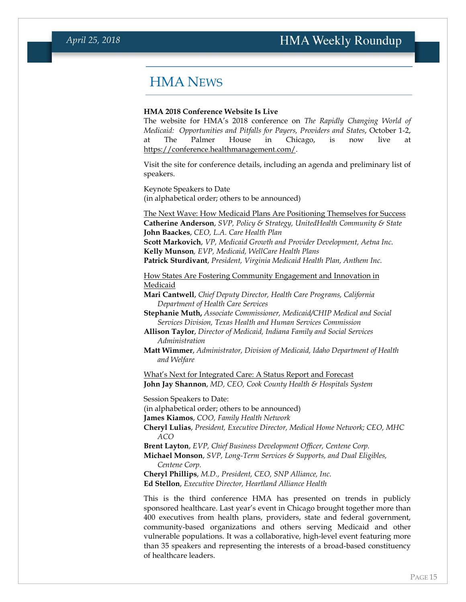# <span id="page-14-0"></span>HMA NEWS

#### **HMA 2018 Conference Website Is Live**

The website for HMA's 2018 conference on *The Rapidly Changing World of Medicaid: Opportunities and Pitfalls for Payers, Providers and States*, October 1-2, at The Palmer House in Chicago, is now live at [https://conference.healthmanagement.com/.](https://conference.healthmanagement.com/)

Visit the site for conference details, including an agenda and preliminary list of speakers.

Keynote Speakers to Date (in alphabetical order; others to be announced)

The Next Wave: How Medicaid Plans Are Positioning Themselves for Success **Catherine Anderson**, *SVP, Policy & Strategy, UnitedHealth Community & State* **John Baackes**, *CEO, L.A. Care Health Plan* **Scott Markovich**, *VP, Medicaid Growth and Provider Development, Aetna Inc.* 

**Kelly Munson***, EVP, Medicaid, WellCare Health Plans* **Patrick Sturdivant**, *President, Virginia Medicaid Health Plan, Anthem Inc.*

How States Are Fostering Community Engagement and Innovation in Medicaid

**Mari Cantwell**, *Chief Deputy Director, Health Care Programs, California Department of Health Care Services*

**Stephanie Muth,** *Associate Commissioner, Medicaid/CHIP Medical and Social Services Division, Texas Health and Human Services Commission*

**Allison Taylor**, *Director of Medicaid, Indiana Family and Social Services Administration*

**Matt Wimmer**, *Administrator, Division of Medicaid, Idaho Department of Health and Welfare*

What's Next for Integrated Care: A Status Report and Forecast **John Jay Shannon**, *MD, CEO, Cook County Health & Hospitals System*

Session Speakers to Date:

(in alphabetical order; others to be announced)

**James Kiamos**, *COO, Family Health Network*

**Cheryl Lulias**, *President, Executive Director, Medical Home Network; CEO, MHC ACO*

**Brent Layton**, *EVP, Chief Business Development Officer, Centene Corp.* 

**Michael Monson**, *SVP, Long-Term Services & Supports, and Dual Eligibles, Centene Corp.*

**Cheryl Phillips**, *M.D., President, CEO, SNP Alliance, Inc.* **Ed Stellon**, *Executive Director, Heartland Alliance Health*

This is the third conference HMA has presented on trends in publicly sponsored healthcare. Last year's event in Chicago brought together more than 400 executives from health plans, providers, state and federal government, community-based organizations and others serving Medicaid and other vulnerable populations. It was a collaborative, high-level event featuring more than 35 speakers and representing the interests of a broad-based constituency of healthcare leaders.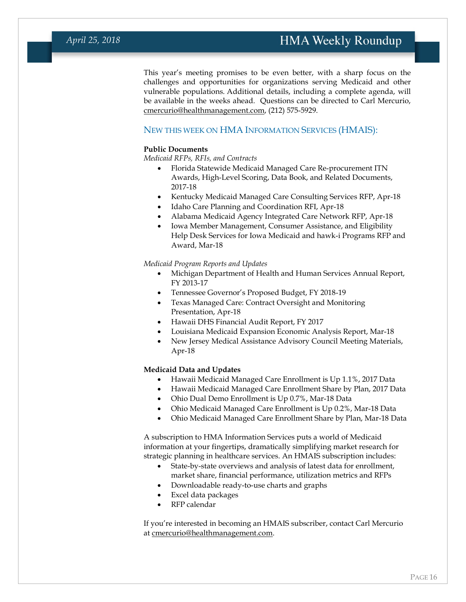This year's meeting promises to be even better, with a sharp focus on the challenges and opportunities for organizations serving Medicaid and other vulnerable populations. Additional details, including a complete agenda, will be available in the weeks ahead. Questions can be directed to Carl Mercurio, [cmercurio@healthmanagement.com,](mailto:cmercurio@healthmanagement.com) (212) 575-5929.

### <span id="page-15-0"></span>NEW THIS WEEK ON HMA INFORMATION SERVICES (HMAIS):

#### **Public Documents**

*Medicaid RFPs, RFIs, and Contracts*

- Florida Statewide Medicaid Managed Care Re-procurement ITN Awards, High-Level Scoring, Data Book, and Related Documents, 2017-18
- Kentucky Medicaid Managed Care Consulting Services RFP, Apr-18
- Idaho Care Planning and Coordination RFI, Apr-18
- Alabama Medicaid Agency Integrated Care Network RFP, Apr-18
- Iowa Member Management, Consumer Assistance, and Eligibility Help Desk Services for Iowa Medicaid and hawk-i Programs RFP and Award, Mar-18

#### *Medicaid Program Reports and Updates*

- Michigan Department of Health and Human Services Annual Report, FY 2013-17
- Tennessee Governor's Proposed Budget, FY 2018-19
- Texas Managed Care: Contract Oversight and Monitoring Presentation, Apr-18
- Hawaii DHS Financial Audit Report, FY 2017
- Louisiana Medicaid Expansion Economic Analysis Report, Mar-18
- New Jersey Medical Assistance Advisory Council Meeting Materials, Apr-18

### **Medicaid Data and Updates**

- Hawaii Medicaid Managed Care Enrollment is Up 1.1%, 2017 Data
- Hawaii Medicaid Managed Care Enrollment Share by Plan, 2017 Data
- Ohio Dual Demo Enrollment is Up 0.7%, Mar-18 Data
- Ohio Medicaid Managed Care Enrollment is Up 0.2%, Mar-18 Data
- Ohio Medicaid Managed Care Enrollment Share by Plan, Mar-18 Data

A subscription to HMA Information Services puts a world of Medicaid information at your fingertips, dramatically simplifying market research for strategic planning in healthcare services. An HMAIS subscription includes:

- State-by-state overviews and analysis of latest data for enrollment, market share, financial performance, utilization metrics and RFPs
- Downloadable ready-to-use charts and graphs
- Excel data packages
- RFP calendar

If you're interested in becoming an HMAIS subscriber, contact Carl Mercurio at [cmercurio@healthmanagement.com.](mailto:cmercurio@healthmanagement.com)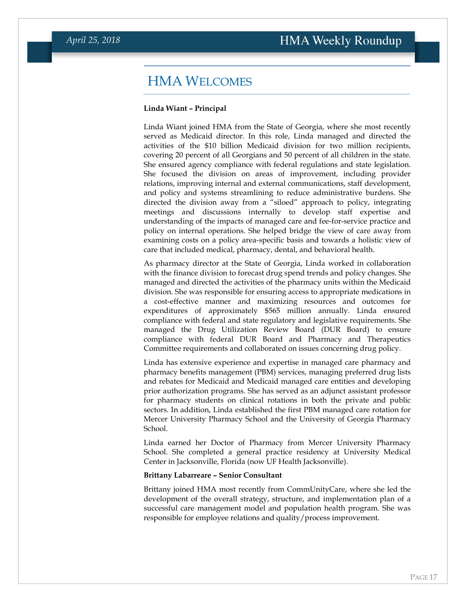## <span id="page-16-0"></span>HMA WELCOMES

#### **Linda Wiant – Principal**

Linda Wiant joined HMA from the State of Georgia, where she most recently served as Medicaid director. In this role, Linda managed and directed the activities of the \$10 billion Medicaid division for two million recipients, covering 20 percent of all Georgians and 50 percent of all children in the state. She ensured agency compliance with federal regulations and state legislation. She focused the division on areas of improvement, including provider relations, improving internal and external communications, staff development, and policy and systems streamlining to reduce administrative burdens. She directed the division away from a "siloed" approach to policy, integrating meetings and discussions internally to develop staff expertise and understanding of the impacts of managed care and fee-for-service practice and policy on internal operations. She helped bridge the view of care away from examining costs on a policy area-specific basis and towards a holistic view of care that included medical, pharmacy, dental, and behavioral health.

As pharmacy director at the State of Georgia, Linda worked in collaboration with the finance division to forecast drug spend trends and policy changes. She managed and directed the activities of the pharmacy units within the Medicaid division. She was responsible for ensuring access to appropriate medications in a cost-effective manner and maximizing resources and outcomes for expenditures of approximately \$565 million annually. Linda ensured compliance with federal and state regulatory and legislative requirements. She managed the Drug Utilization Review Board (DUR Board) to ensure compliance with federal DUR Board and Pharmacy and Therapeutics Committee requirements and collaborated on issues concerning drug policy.

Linda has extensive experience and expertise in managed care pharmacy and pharmacy benefits management (PBM) services, managing preferred drug lists and rebates for Medicaid and Medicaid managed care entities and developing prior authorization programs. She has served as an adjunct assistant professor for pharmacy students on clinical rotations in both the private and public sectors. In addition, Linda established the first PBM managed care rotation for Mercer University Pharmacy School and the University of Georgia Pharmacy School.

Linda earned her Doctor of Pharmacy from Mercer University Pharmacy School. She completed a general practice residency at University Medical Center in Jacksonville, Florida (now UF Health Jacksonville).

#### **Brittany Labarreare – Senior Consultant**

Brittany joined HMA most recently from CommUnityCare, where she led the development of the overall strategy, structure, and implementation plan of a successful care management model and population health program. She was responsible for employee relations and quality/process improvement.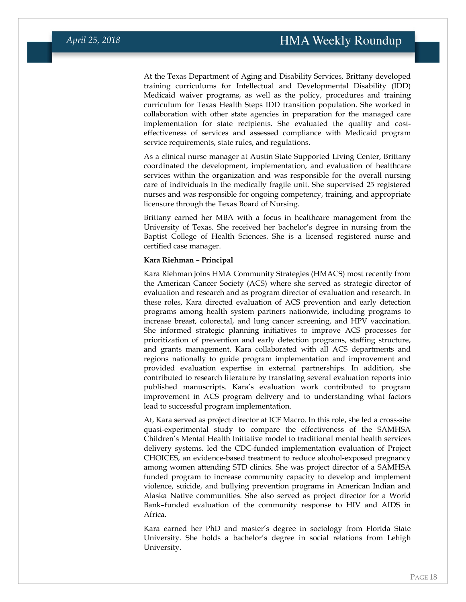At the Texas Department of Aging and Disability Services, Brittany developed training curriculums for Intellectual and Developmental Disability (IDD) Medicaid waiver programs, as well as the policy, procedures and training curriculum for Texas Health Steps IDD transition population. She worked in collaboration with other state agencies in preparation for the managed care implementation for state recipients. She evaluated the quality and costeffectiveness of services and assessed compliance with Medicaid program service requirements, state rules, and regulations.

As a clinical nurse manager at Austin State Supported Living Center, Brittany coordinated the development, implementation, and evaluation of healthcare services within the organization and was responsible for the overall nursing care of individuals in the medically fragile unit. She supervised 25 registered nurses and was responsible for ongoing competency, training, and appropriate licensure through the Texas Board of Nursing.

Brittany earned her MBA with a focus in healthcare management from the University of Texas. She received her bachelor's degree in nursing from the Baptist College of Health Sciences. She is a licensed registered nurse and certified case manager.

#### **Kara Riehman – Principal**

Kara Riehman joins HMA Community Strategies (HMACS) most recently from the American Cancer Society (ACS) where she served as strategic director of evaluation and research and as program director of evaluation and research. In these roles, Kara directed evaluation of ACS prevention and early detection programs among health system partners nationwide, including programs to increase breast, colorectal, and lung cancer screening, and HPV vaccination. She informed strategic planning initiatives to improve ACS processes for prioritization of prevention and early detection programs, staffing structure, and grants management. Kara collaborated with all ACS departments and regions nationally to guide program implementation and improvement and provided evaluation expertise in external partnerships. In addition, she contributed to research literature by translating several evaluation reports into published manuscripts. Kara's evaluation work contributed to program improvement in ACS program delivery and to understanding what factors lead to successful program implementation.

At, Kara served as project director at ICF Macro. In this role, she led a cross-site quasi-experimental study to compare the effectiveness of the SAMHSA Children's Mental Health Initiative model to traditional mental health services delivery systems. led the CDC-funded implementation evaluation of Project CHOICES, an evidence-based treatment to reduce alcohol-exposed pregnancy among women attending STD clinics. She was project director of a SAMHSA funded program to increase community capacity to develop and implement violence, suicide, and bullying prevention programs in American Indian and Alaska Native communities. She also served as project director for a World Bank–funded evaluation of the community response to HIV and AIDS in Africa.

Kara earned her PhD and master's degree in sociology from Florida State University. She holds a bachelor's degree in social relations from Lehigh University.